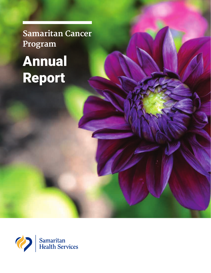**Samaritan Cancer Program** Annual Report

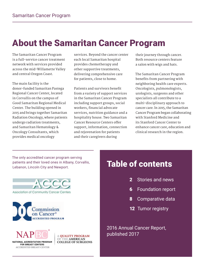## About the Samaritan Cancer Program

The Samaritan Cancer Program is a full-service cancer treatment network with services provided across the mid-Willamette Valley and central Oregon Coast.

The main facility is the donor-funded Samaritan Pastega Regional Cancer Center, located in Corvallis on the campus of Good Samaritan Regional Medical Center. The building opened in 2015 and brings together Samaritan Radiation Oncology, where patients undergo radiation treatments, and Samaritan Hematology & Oncology Consultants, which provides medical oncology

services. Beyond the cancer center each local Samaritan hospital provides chemotherapy and other supportive treatments, delivering comprehensive care for patients, close to home.

Patients and survivors benefit from a variety of support services in the Samaritan Cancer Program including support groups, social workers, financial advocate services, nutrition guidance and a hospitality house. Two Samaritan Cancer Resource Centers offer support, information, connection and rejuvenation for patients and their caregivers during

their journey through cancer. Both resource centers feature a salon with wigs and hats.

The Samaritan Cancer Program benefits from partnering with neighboring health care experts. Oncologists, pulmonologists, urologists, surgeons and other specialists all contribute to a multi-disciplinary approach to cancer care. In 2015, the Samaritan Cancer Program began collaborating with Stanford Medicine and its Stanford Cancer Center to enhance cancer care, education and clinical research in the region.

The only accredited cancer program serving patients and their loved ones in Albany, Corvallis, Lebanon, Lincoln City and Newport.

> A **OUALITY PROGRAM** OF THE AMERICAN

**COLLEGE OF SURGEONS** 







## Table of contents

- Stories and news
- **6** Foundation report
- 8 Comparative data
- 12 Tumor registry

2016 Annual Cancer Report, published 2017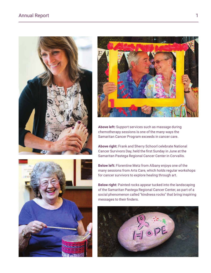





**Above left:** Support services such as massage during chemotherapy sessions is one of the many ways the Samaritan Cancer Program exceeds in cancer care.

**Above right:** Frank and Sherry Schoorl celebrate National Cancer Survivors Day, held the first Sunday in June at the Samaritan Pastega Regional Cancer Center in Corvallis.

**Below left:** Florentine Metz from Albany enjoys one of the many sessions from Arts Care, which holds regular workshops for cancer survivors to explore healing through art.

**Below right:** Painted rocks appear tucked into the landscaping of the Samaritan Pastega Regional Cancer Center, as part of a social phenomenon called "kindness rocks" that bring inspiring messages to their finders.

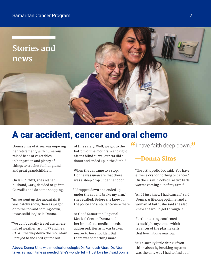

## A car accident, cancer and oral chemo

Donna Sims of Alsea was enjoying her retirement, with numerous raised beds of vegetables in her garden and plenty of things to crochet for her grand and great grandchildren.

On Jan. 4, 2017, she and her husband, Gary, decided to go into Corvallis and do some shopping.

"As we went up the mountain it was patchy snow, then as we got onto the top and coming down, it was solid ice," said Donna.

"We don't usually travel anywhere in bad weather, as I'm 77 and he's 82. All the way down the mountain I prayed to the Lord get me out

of this safely. Well, we got to the bottom of the mountain and right after a blind curve, our car did a donut and ended up in the ditch."

When the car came to a stop, Donna was unaware that there was a steep drop under her door.

"I dropped down and ended up under the car and broke my arm," she recalled. Before she knew it, the police and ambulance were there.

At Good Samaritan Regional Medical Center, Donna had her immediate medical needs addressed. Her arm was broken nearer to her shoulder. But there was something more.

"I have faith deep down."

## —Donna Sims

"The orthopedic doc said, 'You have either a cyst or nothing or cancer.' On the X-ray it looked like two little worms coming out of my arm."

"And I just knew I had cancer," said Donna. A lifelong optimist and a woman of faith, she said she also knew she would get through it.

Further testing confirmed it: multiple myeloma, which is cancer of the plasma cells that live in bone marrow.

"It's a sneaky little thing. If you think about it, breaking my arm was the only way I had to find out."

**Above:** Donna Sims with medical oncologist Dr. Farnoush Abar. "Dr. Abar takes as much time as needed. She's wonderful — I just love her," said Donna.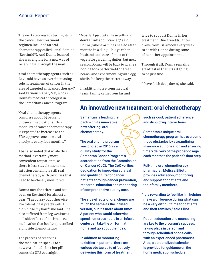The next step was to start fighting the cancer. Her treatment regimen included an oral chemotherapy called Lenalidomide (Revlimid®). And Donna learned she was eligible for a new way of receiving it: through the mail.

"Oral chemotherapy agents such as Revlimid have an ever-increasing role in treatment of cancer in the area of targeted anticancer therapy," said Farnoush Abar, MD, who is Donna's medical oncologist in the Samaritan Cancer Program.

"Oral chemotherapy agents comprise about 25 percent of cancer medications. This modality of cancer chemotherapy is expected to increase as the FDA approves one new oral oncolytic every four months."

Abar also noted that while this method is certainly more convenient for patients, as there is less travel time to the infusion center, it is still real chemotherapy with toxicities that need to be closely monitored.

Donna met the criteria and has been on Revlimid for almost a year. "I get dizzy but otherwise I'm tolerating it pretty well. I didn't lose my hair," she said. She also suffered from leg weakness and side effects of anti-nausea medication that is often prescribed alongside chemotherapy.

The process of receiving the medication speaks to a new era of medicine: her pill comes via UPS overnight.

"Mostly, I just take these pills and don't think about cancer," said Donna, whose arm has healed after months in a sling. This year her husband took care of most of the vegetable gardening duties, but next season Donna will be back to it. She's hoping for a better yield of green beans, and experimenting with egg shells "to keep the critters away."

In addition to a strong medical team, family came from far and wide to support Donna in her treatment. One granddaughter drove from Tillamook every week to be with Donna during some of her other appointments.

Through it all, Donna remains steadfast in that it's all going to be just fine.

"I have faith deep down", she said.

## **An innovative new treatment: oral chemotherapy**

Samaritan is leading the pack with its innovative new offering: oral chemotherapy.

The oral chemo program was piloted in 2016 as a quality study for the Samaritan Cancer Program's accreditation from the Commission on Cancer (CoC). The CoC verifies dedication to improving survival and quality of life for cancer patients through cancer prevention, research, education and monitoring of comprehensive quality care.

The side effects of oral chemo are much the same as the infused version, but it's more about time: A patient who would otherwise spend numerous hours in an infusion center can take the pill form at home and go about their day.

In addition to monitoring toxicities in patients, there are various obstacles to effectively delivering this form of treatment such as cost, patient adherence, and drug-drug interactions.

Samaritan's unique oral chemotherapy program has overcome these obstacles by streamlining insurance authorization and ensuring timely delivery of the proper dosage each month to the patient's door step.

Full-time oral chemotherapy pharmacist, Melissa Elliott, provides education, monitoring and support for patients and their family members.

"It is rewarding to feel like I'm helping make a difference during what can be a very difficult time for patients and their families," said Elliot.

Patient education and counseling are key to the program's success, taking place in person and through scheduled phone calls with an experienced pharmacist. Also, a personalized calendar is provided for guidance on the home medication schedule.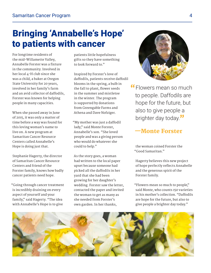## Bringing 'Annabelle's Hope' to patients with cancer

For longtime residents of the mid-Willamette Valley, Annabelle Forster was a fixture in the community. Involved in her local 4-H club since she was a child, a baker at Oregon State University for 20 years, involved in her family's farm and an avid collector of daffodils, Forster was known for helping people in many capacities.

When she passed away in June of 2015, it was only a matter of time before a way was found for this loving woman's name to live on. A new program at Samaritan Cancer Resource Centers called Annabelle's Hope is doing just that.

Stephanie Hagerty, the director of Samaritan Cancer Resource Centers and friend of the Forster family, knows how badly cancer patients need hope.

"Going through cancer treatment is incredibly draining on every aspect of yourself and your family," said Hagerty. "The idea with Annabelle's Hope is to give

patients little hopefulness gifts so they have something to look forward to."

Inspired by Forster's love of daffodils, patients receive daffodil blooms in the spring, a bulb in the fall to plant, flower seeds in the summer and mistletoe in the winter. The program is supported by donations from Greengable Farms and Athena and Dave Nofziger.

"My mother was just a daffodil lady," said Monte Forster, Annabelle's son. "She loved people and was a giving person who would do whatever she could to help."

As the story goes, a woman had written to the local paper upset because someone had picked all the daffodils in her yard that she had been growing for her daughter's wedding. Forster saw the letter, contacted the paper and invited the woman to get as many as she needed from Forster's own garden. In her thanks,



"Flowers mean so much to people. Daffodils are hope for the future, but also to give people a brighter day today."

## —Monte Forster

the woman coined Forster the "Good Samaritan."

Hagerty believes this new project of hope perfectly reflects Annabelle and the generous spirit of the Forster family.

"Flowers mean so much to people," said Monte, who counts 150 varieties in his mother's collection. "Daffodils are hope for the future, but also to give people a brighter day today."

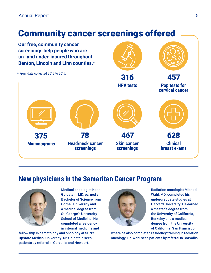## Community cancer screenings offered

**Our free, community cancer screenings help people who are un- and under-insured throughout Benton, Lincoln and Linn counties.\*** \* From data collected 2012 to 2017. **HPV tests Pap tests for cervical cancer Mammograms Head/neck cancer screenings Skin cancer screenings Clinical breast exams** 316 457 375 78 467 628

## **New physicians in the Samaritan Cancer Program**



Medical oncologist Keith Goldstein, MD, earned a Bachelor of Science from Cornell University and a medical degree from St. George's University School of Medicine. He completed a residency in internal medicine and

fellowship in hematology and oncology at SUNY Upstate Medical University. Dr. Goldstein sees patients by referral in Corvallis and Newport.



Radiation oncologist Michael Wahl, MD, completed his undergraduate studies at Harvard University. He earned a master's degree from the University of California, Berkeley and a medical degree from the University of California, San Francisco,

where he also completed residency training in radiation oncology. Dr. Wahl sees patients by referral in Corvallis.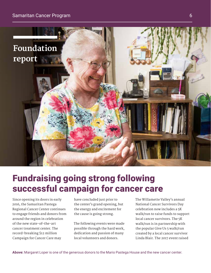

## Fundraising going strong following successful campaign for cancer care

Since opening its doors in early 2016, the Samaritan Pastega Regional Cancer Center continues to engage friends and donors from around the region in celebration of the new state-of-the-art cancer treatment center. The record-breaking \$12 million Campaign for Cancer Care may

have concluded just prior to the center's grand opening, but the energy and excitement for the cause is going strong.

The following events were made possible through the hard work, dedication and passion of many local volunteers and donors.

The Willamette Valley's annual National Cancer Survivors Day celebration now includes a 5K walk/run to raise funds to support local cancer survivors. The 5K walk/run is in partnership with the popular Give Us 5 walk/run created by a local cancer survivor Linda Blair. The 2017 event raised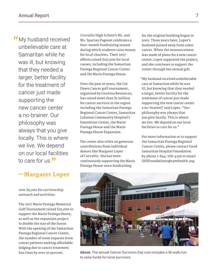"My husband received unbelievable care at Samaritan while he was ill, but knowing that they needed a larger, better facility for the treatment of cancer just made supporting the new cancer center a no-brainer. Our philosophy was always that you give locally. This is where we live. We depend on our local facilities to care for us."

## —Margaret Loper

over \$9,000 for survivorship outreach and activities.

The 2017 Mario Pastega Memorial Golf Tournament raised \$25,000 to support the Mario Pastega House, as well as the expansion project to double the size of the house. With the opening of the Samaritan Pastega Regional Cancer Center, the number of room requests from cancer patients seeking affordable lodging due to cancer treatment has risen by over 50 percent.

Corvallis High School's Mr. and Ms. Spartan Pageant celebrates a four-month fundraising season during which students raise money for local charities. Their 2017 efforts raised \$137,000 for local causes, including the Samaritan Pastega Regional Cancer Center and the Mario Pastega House.

Over the past 10 years, the Cut Down Cancer golf tournament, organized by Giustina Resources, has raised more than \$1 million for cancer services in the region including the Samaritan Pastega Regional Cancer Center, Samaritan Lebanon Community Hospital's Emenhiser Center, the Mario Pastega House and the Mario Pastega House Expansion.

The center also relies on generous contributions from individual donors like Margaret Loper of Corvallis. She has been continuously supporting the Mario Pastega House since fundraising

for the original building began in 2003. Three years later, Loper's husband passed away from colon cancer. When the announcement was made of plans for a new cancer center, Loper supported the project, and she continues to support the center through her annual gift.

"My husband received unbelievable care at Samaritan while he was ill, but knowing that they needed a larger, better facility for the treatment of cancer just made supporting the new cancer center a no-brainer," said Loper. "Our philosophy was always that you give locally. This is where we live. We depend on our local facilities to care for us."

For more information or to support the Samaritan Pastega Regional Cancer Center, please contact Good Samaritan Hospital Foundation by phone 1-844-768-4256 or email SHSFoundations@samhealth.org.



**Above:** The annual Cancer Survivors Day now includes a 5k walk/run to raise funds for local survivors.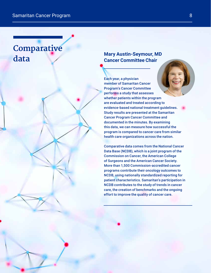## **Comparative data**

## **Mary Austin-Seymour, MD Cancer Committee Chair**

Each year, a physician member of Samaritan Cancer Program's Cancer Committee performs a study that assesses whether patients within the program are evaluated and treated according to evidence-based national treatment guidelines. Study results are presented at the Samaritan Cancer Program Cancer Committee and documented in the minutes. By examining this data, we can measure how successful the program is compared to cancer care from similar health care organizations across the nation.

Comparative data comes from the National Cancer Data Base (NCDB), which is a joint program of the Commission on Cancer, the American College of Surgeons and the American Cancer Society. More than 1,500 Commission-accredited cancer programs contribute their oncology outcomes to NCDB, using nationally standardized reporting for patient characteristics. Samaritan's participation in NCDB contributes to the study of trends in cancer care, the creation of benchmarks and the ongoing effort to improve the quality of cancer care.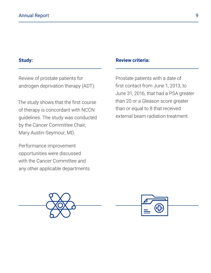### **Study:**

Review of prostate patients for androgen deprivation therapy (ADT).

The study shows that the first course of therapy is concordant with NCCN guidelines. The study was conducted by the Cancer Committee Chair, Mary Austin-Seymour, MD.

Performance improvement opportunities were discussed with the Cancer Committee and any other applicable departments.

### **Review criteria:**

Prostate patients with a date of first contact from June 1, 2013, to June 31, 2016, that had a PSA greater than 20 or a Gleason score greater than or equal to 8 that received external beam radiation treatment.

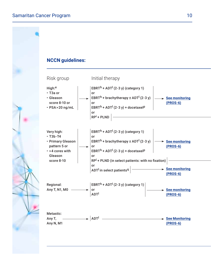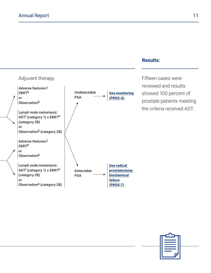

### **Results:**

Fifteen cases were reviewed and results showed 100 percent of prostate patients meeting the criteria received ADT.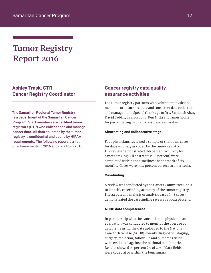## **Tumor Registry Report 2016**

## **Ashley Trask, CTR Cancer Registry Coordinator**

The Samaritan Regional Tumor Registry is a department of the Samaritan Cancer Program. Staff members are certified tumor registrars (CTR) who collect code and manage cancer data. All data collected by the tumor registry is confidential and bound by HIPAA requirements. The following report is a list of achievements in 2016 and data from 2015.

### **Cancer registry data quality assurance activities**

The tumor registry partners with volunteer physician members to ensure accurate and consistent data collection and management. Special thanks go to Drs. Farnoush Abar, David Faddis, Layron Long, Ken Nitta and James Wolfe for participating in quality assurance activities.

#### **Abstracting and collaborative stage**

Four physicians reviewed a sample of their own cases for data accuracy as coded by the tumor registry. The review demonstrated 100 percent accuracy for cancer staging. All abstracts (100 percent) were completed within the timeliness benchmark of six months. Cases were 99.4 percent correct in all criteria.

#### **Casefinding**

A review was conducted by the Cancer Committee Chair to identify casefinding accuracy of the tumor registry. The 22 percent analysis of analytic cases (738 cases) demonstrated the casefinding rate was at 99.2 percent.

#### **NCDB data completeness**

In partnership with the cancer liaison physician, an evaluation was conducted to monitor the overuse of data items using the data uploaded to the National Cancer Data Base (NCDB). Twenty diagnostic, staging, surgery, radiation, follow-up and outcomes fields were evaluated against the national benchmarks. Results showed 95 percent (19 of 20) of data fields were coded at or within the benchmark.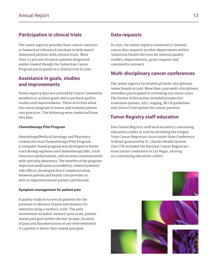## **Participation in clinical trials**

The tumor registry provides basic cancer statistics to Samaritan's Research Institute to help match interested patients with clinical trials. More than 3.5 percent of cancer patients diagnosed and/or treated though the Samaritan Cancer Program participated in a clinical trial in 2016.

## **Assistance in goals, studies and improvements**

Tumor registry data was utilized by Cancer Committee members to achieve goals and to perform quality studies and improvements. These activities allow the cancer program to assess and evaluate patient care practices. The following were conducted from this data:

#### **Chemotherapy Pilot Program**

Hematology/Medical Oncology and Pharmacy created the Oral Chemotherapy Pilot Program. A computer-based program was developed to better track dosing regimens and chemotherapy labs, track insurance authorization, and increase communication with specialty pharmacy. The benefits of the program improved medication accessibility, reduced patients' side effects, developed direct communication between patient and health care provider as well as improved overall patient satisfaction.

#### **Symptom management for patient pain**

A quality study to screen all patients for the presence or absence of pain and measure its intensity using a numeric scale. The pain assessment included: numeric pain score, patient stated pain goal within the last 30 days, location of pain and documentation of any intervention(s) if a patient is above their stated pain goal.

### **Data requests**

In 2016, the tumor registry answered 57 internal cancer data requests to other departments within Samaritan Health Services for internal quality studies, improvements, grant requests and community outreach.

### **Multi-disciplinary cancer conferences**

The tumor registry facilitated 48 multi-disciplinary tumor boards in 2016. More than 1,950 multi-disciplinary attendees participated in reviewing 159 cancer cases. The format of discussion included prospective treatment options, AJCC staging, NCCN guidelines and clinical trial options for cancer patients.

## **Tumor Registry staff education**

Four Tumor Registry staff each earned 9.5 continuing education credits in 2016 by attending the Oregon State Cancer Registrars Association State Conference in Bend sponsored by St. Charles Health System. One CTR attended the National Cancer Registrars Association Conference in Las Vegas, earning 16.5 continuing education credits.



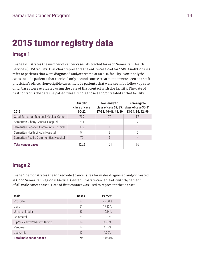## 2015 tumor registry data

### **Image 1**

Image 1 illustrates the number of cancer cases abstracted for each Samaritan Health Services (SHS) facility. This chart represents the entire caseload for 2015. Analytic cases refer to patients that were diagnosed and/or treated at an SHS facility. Non-analytic cases include patients that received only second course treatment or were seen at a staff physician's office. Non-eligible cases include patients that were seen for follow-up care only. Cases were evaluated using the date of first contact with the facility. The date of first contact is the date the patient was first diagnosed and/or treated at that facility.

| 2015                                   | <b>Analytic</b><br>class of case<br>$00 - 22$ | Non-analytic<br>class of case 32, 35,<br>37-38, 40-41, 43, 49 | Non-eligible<br>class of case 30-31,<br>33-34, 36, 42, 99 |
|----------------------------------------|-----------------------------------------------|---------------------------------------------------------------|-----------------------------------------------------------|
| Good Samaritan Regional Medical Center | 739                                           | 77                                                            | 55                                                        |
| Samaritan Albany General Hospital      | 291                                           | 12                                                            | 2                                                         |
| Samaritan Lebanon Community Hospital   | 132                                           | 4                                                             | 3                                                         |
| Samaritan North Lincoln Hospital       | 54                                            | 3                                                             | 5                                                         |
| Samaritan Pacific Communities Hospital | 76                                            | 5                                                             | 4                                                         |
| <b>Total cancer cases</b>              | 1292                                          | 101                                                           | 69                                                        |

## **Image 2**

Image 2 demonstrates the top recorded cancer sites for males diagnosed and/or treated at Good Samaritan Regional Medical Center. Prostate cancer leads with 74 percent of all male cancer cases. Date of first contact was used to represent these cases.

| <b>Male</b>                     | Cases | <b>Percent</b> |
|---------------------------------|-------|----------------|
| Prostate                        | 74    | 25.00%         |
| Lung                            | 51    | 17.23%         |
| Urinary bladder                 | 30    | 10.14%         |
| Colorectal                      | 29    | 9.80%          |
| Lip/oral cavity/pharynx, larynx | 14    | 4.73%          |
| Pancreas                        | 14    | 4.73%          |
| Leukemia                        | 12    | 4.06%          |
| <b>Total male cancer cases</b>  | 296   | 100.00%        |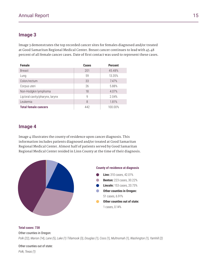Image 3 demonstrates the top recorded cancer sites for females diagnosed and/or treated at Good Samaritan Regional Medical Center. Breast cancer continues to lead with 45.48 percent of all female cancer cases. Date of first contact was used to represent these cases.

| <b>Female</b>                   | Cases | <b>Percent</b> |
|---------------------------------|-------|----------------|
| <b>Breast</b>                   | 201   | 45.48%         |
| Lung                            | 59    | 13.35%         |
| Colon/rectum                    | 33    | 7.47%          |
| Corpus uteri                    | 26    | 5.88%          |
| Non-Hodgkin lymphoma            | 18    | 4.07%          |
| Lip/oral cavity/pharynx, larynx | 9     | 2.04%          |
| Leukemia                        | 8     | 1.81%          |
| <b>Total female cancers</b>     | 442   | 100.00%        |

## **Image 4**

Image 4 illustrates the county of residence upon cancer diagnosis. This information includes patients diagnosed and/or treated at Good Samaritan Regional Medical Center. Almost half of patients served by Good Samaritan Regional Medical Center resided in Linn County at the time of their diagnosis.



#### **Total cases: 738** Other counties in Oregon: *Polk (22), Marion (14), Lane (5), Lake (1) Tillamook (3), Douglas (1), Coos (1), Multnomah (1), Washington (1), Yamhill (2)*

Other counties out of state: *Polk, Texas (1)*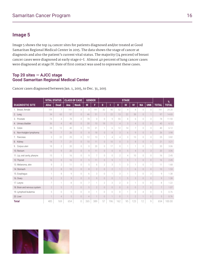Image 5 shows the top 24 cancer sites for patients diagnosed and/or treated at Good Samaritan Regional Medical Center in 2015. The data shows the stage of cancer at diagnosis and also the patient's current vital status. The majority (74 percent) of breast cancer cases were diagnosed at early stage 0-I. Almost 40 percent of lung cancer cases were diagnosed at stage IV. Date of first contact was used to represent these cases.

#### **Top 20 sites — AJCC stage Good Samaritan Regional Medical Center**

|                               | <b>VITAL STATUS</b> |                |                | <b>CLASS OF CASE</b> | <b>GENDER</b>    |                |                                  |                |                  |                  | %                |                |                |                |              |
|-------------------------------|---------------------|----------------|----------------|----------------------|------------------|----------------|----------------------------------|----------------|------------------|------------------|------------------|----------------|----------------|----------------|--------------|
| <b>DIAGNOSTIC SITE</b>        | <b>Alive</b>        | <b>Dead</b>    | Ana            | <b>NonA</b>          | M.               | F.             | $\bf{0}$                         |                | Ш                | Ш                | <b>IV</b>        | <b>NA</b>      | <b>UNK</b>     | <b>TOTAL</b>   | <b>TOTAL</b> |
| 1. Breast, female             | 184                 | 7              | 191            | $\bigcap$            | $\left( \right)$ | 191            | 32                               | 90             | 52               | $\mathcal{Q}$    | 8                | $\bigcap$      | $\sqrt{a}$     | 191            | 29.20        |
| 2. Lung                       | 34                  | 63             | 97             | $\bigcap$            | 46               | 51             | $\overline{1}$                   | 22             | 13               | 22               | 38               | $\overline{0}$ | 1              | 97             | 14.83        |
| 3. Prostate                   | 74                  | 4              | 78             | $\bigcap$            | 78               | $\bigcap$      | $\bigcap$                        | 9              | 55               | 8                | 6                | $\bigcap$      | 0              | 78             | 11.93        |
| 4. Urinary bladder            | 36                  | $\overline{4}$ | 40             | $\overline{0}$       | 30               | 10             | 18                               | 11             | $\overline{4}$   | 3                | $\overline{4}$   | $\overline{0}$ | $\overline{0}$ | 40             | 6.12         |
| 5. Colon                      | 28                  | 12             | 40             | $\bigcap$            | 19               | 21             | $\mathbf{1}$                     | 6              | 12               | 14               | 7                | $\bigcap$      | $\cup$         | 40             | 6.12         |
| 6. Non-Hodgkin lymphoma       | 19                  | $\overline{7}$ | 26             | $\overline{0}$       | 8                | 18             | $\overline{0}$                   | 8              | 3                | $6\overline{6}$  | Q                | $\overline{0}$ | $\mathbb O$    | 26             | 3.98         |
| 7. Pancreas                   | 3                   | 22             | 25             | $\bigcap$            | 12               | 13             | $\mathbf{1}$                     | $\overline{4}$ | $\overline{4}$   | 3                | 13               | $\bigcap$      | $\overline{0}$ | 25             | 3.82         |
| 8. Kidney                     | 14                  | 7              | 21             | $\overline{0}$       | 10               | 11             | $\cup$                           | 10             | $\theta$         | 3                | 8                | $\overline{0}$ | $\overline{0}$ | 21             | 3.21         |
| 9. Corpus uteri               | 18                  | $\overline{2}$ | 20             | $\bigcap$            | $\bigcap$        | 20             | $\sqrt{2}$                       | 17             | $\left( \right)$ | 1                | 1                | $\bigcap$      | 1              | 20             | 3.06         |
| 10. Rectum                    | 11                  | 9              | 20             | $\overline{0}$       | $\mathcal{G}$    | 11             | $\cup$                           | $\overline{0}$ | 8                | 5                | $\overline{4}$   | $\overline{0}$ | 3              | 20             | 3.06         |
| 11. Lip, oral cavity, pharynx | 15                  | 1              | 16             | $\bigcap$            | 9                | 7              | $\bigcap$                        | $\cup$         | $\overline{2}$   | 4                | 10 <sup>1</sup>  | $\bigcap$      | $\cup$         | 16             | 2.45         |
| 12. Thyroid                   | 16                  | $\overline{0}$ | 16             | $\overline{0}$       | 5                | 11             | $\overline{0}$                   | $\overline{9}$ | $\overline{1}$   | 5                | $\mathbf{1}$     | $\overline{0}$ | $\mathbb O$    | 16             | 2.45         |
| 13. Melanoma, skin            | 9                   | $\mathbf{2}$   | 11             | $\bigcap$            | 5                | 6              | $\overline{2}$                   | 3              | 1                | 3                |                  | $\cup$         | 1              | 11             | 1.68         |
| 14. Stomach                   | $\mathbf{2}$        | 8              | 10             | $\overline{0}$       | 8                | $\overline{2}$ | $\overline{0}$                   | $\mathbf{2}$   | $\mathbf 1$      | $\mathbf{1}$     | 6                | $\overline{0}$ | $\mathbb O$    | 10             | 1.53         |
| 15. Esophagus                 | 1                   | 8              | 9              | $\left( \right)$     | 6                | 3              | $\sqrt{a}$                       | $\mathbf{1}$   | 3                | 1                |                  | $\cup$         | 3              | 9              | 1.38         |
| 16. Ovary                     | 6                   | 3              | $\overline{9}$ | $\theta$             | $\overline{0}$   | $\overline{9}$ | $\cup$                           | $\overline{0}$ | $\mathbf 1$      | 5                | 3                | $\overline{0}$ | $\overline{0}$ | $\mathbf Q$    | 1.38         |
| 17. Larynx                    | 7                   | 1              | 8              | $\left( \right)$     | 7                | 1              | $\sqrt{2}$                       | 3              | $\overline{2}$   | $\bigcap$        |                  | $\bigcap$      | $\cup$         | 8              | 1.22         |
| 18. Brain and nervous system  | $\overline{2}$      | 5              | $\overline{7}$ | $\cup$               | 5                | $\overline{2}$ | $\overline{0}$                   | $\overline{0}$ | $\overline{0}$   | $\left( \right)$ | $\left( \right)$ | $\overline{7}$ | $\overline{0}$ | $\overline{7}$ | 1.07         |
| 19. Lymphoid leukemia         | 5                   | $\overline{0}$ | 5              | $\bigcirc$           | 4                | 1              | $\begin{array}{c} \n\end{array}$ | $\cup$         | $\bigcap$        | 1                | $\bigcap$        | $\overline{4}$ | 0              | 5              | 0.76         |
| 20. Liver                     | $\mathbf 1$         | $\overline{4}$ | 5              | $\bigcap$            | $\overline{4}$   | $\overline{1}$ | $\theta$                         | $\mathbf{1}$   | $\cup$           | $\overline{1}$   | $\overline{2}$   | $\overline{1}$ | $\overline{0}$ | 5              | 0.76         |
| <b>Total</b>                  | 485                 | 169            | 654            | $\bigcirc$           | 265              | 389            | 57                               | 196            | 162              | 95               | 123              | 12             | 9              | 654            | 100.00       |

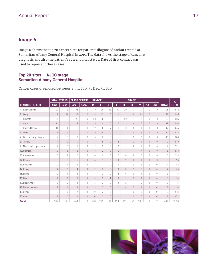Image 6 shows the top 20 cancer sites for patients diagnosed and/or treated at Samaritan Albany General Hospital in 2015. The data shows the stage of cancer at diagnosis and also the patient's current vital status. Date of first contact was used to represent these cases.

#### **Top 20 sites — AJCC stage Samaritan Albany General Hospital**

|                              | <b>VITAL STATUS</b> |                | <b>CLASS OF CASE</b> |                | <b>GENDER</b>  |                |                |                |                | <b>STAGE</b>   |                |                |                |                | %            |
|------------------------------|---------------------|----------------|----------------------|----------------|----------------|----------------|----------------|----------------|----------------|----------------|----------------|----------------|----------------|----------------|--------------|
| <b>DIAGNOSTIC SITE</b>       | <b>Alive</b>        | <b>Dead</b>    | Ana                  | <b>NonA</b>    | M              | F              | $\mathbf{0}$   |                | Ш              | Ш              | <b>IV</b>      | <b>NA</b>      | <b>UNK</b>     | <b>TOTAL</b>   | <b>TOTAL</b> |
| 1. Breast, female            | 92                  | 3              | 95                   | $\cup$         | $\bigcap$      | 95             | 13             | 39             | 29             | $\overline{7}$ | $\overline{7}$ | $\overline{0}$ | $\bigcap$      | 95             | 36.82        |
| 2. Lung                      | $\overline{7}$      | 21             | 28                   | $\overline{0}$ | 13             | 15             | $\overline{0}$ | $\overline{1}$ | $\overline{2}$ | 10             | 14             | $\overline{0}$ | $\mathbf{1}$   | 28             | 10.85        |
| 3. Prostate                  | 26                  | $\mathbf{2}$   | 28                   | $\overline{0}$ | 28             | $\overline{0}$ | $\cup$         | $\overline{2}$ | 20             | 1              | 5              | $\cup$         | 0              | 28             | 10.85        |
| 4. Colon                     | 14                  | $\overline{4}$ | 18                   | $\overline{0}$ | 10             | 8              | $\mathbb O$    | 5              | $\overline{2}$ | 6              | 5              | $\overline{0}$ | $\mathbb O$    | 18             | 6.98         |
| 5. Urinary bladder           | 11                  | $\mathbf{1}$   | 12                   | $\overline{0}$ | 12             | $\Omega$       | $\overline{7}$ | $\mathbf{1}$   | $\cup$         | 3              | $\mathbf{1}$   | 0              | 0              | 12             | 4.65         |
| 6. Ovary                     | 8                   | $\overline{2}$ | 10                   | $\Omega$       | $\mathbf{0}$   | 10             | $\mathbb O$    | $\mathbb O$    | $\mathbf{1}$   | $\overline{4}$ | 5              | $\overline{0}$ | $\mathbb O$    | 10             | 3.88         |
| 7. Lip, oral cavity, pharynx | 7                   | 3              | 10                   | $\overline{0}$ | 5              | 5              | $\bigcap$      | 1              | 1              | $\overline{2}$ | 6              | $\overline{0}$ | $\bigcap$      | 10             | 3.88         |
| 8. Thyroid                   | $\overline{7}$      | $\overline{2}$ | $\mathsf{Q}$         | $\Omega$       | $\mathbf{1}$   | 8              | $\theta$       | $\sqrt{3}$     | 3              | $\overline{2}$ | $\mathbf{1}$   | $\overline{0}$ | $\mathbb O$    | $\mathbf{Q}$   | 3.49         |
| 9. Non-Hodgkin lymphoma      | $\overline{7}$      | $\theta$       | 7                    | 0              | $\overline{2}$ | 5              | $\sqrt{a}$     | $\overline{2}$ | 1              | $\sqrt{ }$     | $\overline{4}$ | 0              | $\sqrt{ }$     | 7              | 2.71         |
| 10. Stomach                  | $\overline{0}$      | 6              | 6                    | $\overline{0}$ | $\overline{4}$ | $\mathbf{2}$   | $\overline{0}$ | $\overline{0}$ | $\mathbf{1}$   | $\mathbf{1}$   | $\overline{4}$ | $\overline{0}$ | $\overline{0}$ | 6              | 2.33         |
| 11. Corpus uteri             | 5                   | 1              | 6                    | $\bigcap$      | $\Omega$       | 6              | $\Omega$       | 6              | $\Omega$       | $\Omega$       | $\bigcap$      | 0              | $\cup$         | 6              | 2.33         |
| 12. Rectum                   | 5                   | $\mathbb O$    | 5                    | $\overline{0}$ | $\overline{4}$ | $\mathbf{1}$   | $\overline{0}$ | $\mathbb O$    | $\mathbf{2}$   | $\overline{2}$ | 1              | $\overline{0}$ | $\mathbb O$    | 5              | 1.94         |
| 13. Pancreas                 | $\cup$              | 4              | 4                    | $\cup$         | 3              | 1              | $\bigcap$      | $\mathbf 0$    | 3              | $\cup$         | 1              | $\overline{0}$ | $\overline{0}$ | 4              | 1.55         |
| 14. Kidney                   | $\overline{4}$      | $\mathbb O$    | $\overline{4}$       | $\overline{0}$ | $\overline{2}$ | $\mathbf{2}$   | $\overline{0}$ | $\sqrt{3}$     | $\theta$       | $\mathbf{1}$   | $\overline{0}$ | $\overline{0}$ | $\mathbb O$    | $\overline{4}$ | 1.55         |
| 15. Larynx                   | $\overline{2}$      | 1              | 3                    | $\cup$         | 3              | $\theta$       | $\mathbf 0$    | $\overline{2}$ | $\theta$       | $\cup$         | 1              | $\mathbf 0$    | $\cup$         | 3              | 1.16         |
| 16. Liver                    |                     | $\mathbf{2}$   | 3                    | $\overline{0}$ | 3              | $\theta$       | $\overline{1}$ | $\overline{0}$ | $\overline{1}$ | $\overline{0}$ | $\mathbf{1}$   | $\overline{0}$ | $\overline{0}$ | 3              | 1.16         |
| 17. Breast, male             | 3                   | $\mathbf 0$    | 3                    | 0              | 3              | $\theta$       | $\mathbf{0}$   | $\mathbf{0}$   | $\overline{2}$ | 1              | $\mathbf{0}$   | $\theta$       | 0              | 3              | 1.16         |
| 18. Melanoma, skin           | $\overline{2}$      | $\mathbf{1}$   | 3                    | $\Omega$       | 3              | $\overline{0}$ | $\mathbb O$    | $\overline{2}$ | $\overline{0}$ | $\overline{0}$ | $\mathbf{1}$   | $\mathbb O$    | $\overline{0}$ | 3              | 1.16         |
| 19. Cervix                   | $\overline{2}$      | $\mathbf 0$    | $\overline{2}$       | 0              | $\bigcap$      | $\overline{2}$ | $\bigcap$      |                | 1              | $\cup$         | $\mathbf{0}$   | 0              | $\cup$         | $\mathbf{2}$   | 0.78         |
| 20. Anus                     | $\overline{2}$      | $\mathbb O$    | $\overline{2}$       | $\theta$       | $\theta$       | $\overline{2}$ | $\overline{0}$ | $\mathbb{1}$   | $\mathbf{1}$   | $\overline{0}$ | $\theta$       | $\theta$       | $\overline{0}$ | $\sqrt{2}$     | 0.78         |
| <b>Total</b>                 | 349                 | 95             | 444                  | 0              | 148            | 296            | 34             | 124            | 111            | 70             | 103            | $\sqrt{a}$     | $\overline{2}$ | 444            | 100.00       |

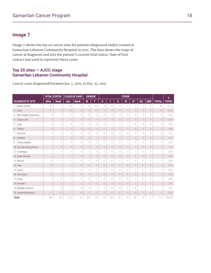Image 7 shows the top 20 cancer sites for patients diagnosed and/or treated at Samaritan Lebanon Community Hospital in 2015. The data shows the stage of cancer at diagnosis and also the patient's current vital status. Date of first contact was used to represent these cases.

#### **Top 20 sites — AJCC stage Samaritan Lebanon Community Hospital**

|                               | <b>VITAL STATUS</b> |                | <b>CLASS OF CASE</b> |                  | <b>GENDER</b>    |                | <b>STAGE</b>   |                |                  |                                  |                                  |                  |                |                | %            |
|-------------------------------|---------------------|----------------|----------------------|------------------|------------------|----------------|----------------|----------------|------------------|----------------------------------|----------------------------------|------------------|----------------|----------------|--------------|
| <b>DIAGNOSTIC SITE</b>        | <b>Alive</b>        | <b>Dead</b>    | Ana                  | <b>NonA</b>      | M                | F              | $\mathbf{0}$   |                | Ш                | Ш                                | IV                               | <b>NA</b>        | <b>UNK</b>     | <b>TOTAL</b>   | <b>TOTAL</b> |
| 1. Breast, female             | 34                  | $\overline{2}$ | 36                   | $\bigcap$        | $\theta$         | 36             | 5              | 15             | Q                | $\overline{4}$                   | 3                                | $\cup$           | $\sqrt{ }$     | 36             | 32.14        |
| 2. Colon                      | 11                  | 8              | 19                   | $\overline{0}$   | $6\overline{6}$  | 13             | $\overline{1}$ | $\sqrt{2}$     | $\overline{4}$   | $\overline{7}$                   | 5                                | $\overline{0}$   | $\overline{0}$ | 19             | 16.96        |
| 3. Non-Hodgkin lymphoma       | 9                   | $\overline{2}$ | 11                   | $\sqrt{ }$       | 5                | 6              | $\sqrt{a}$     | 4              |                  | $\overline{2}$                   | 4                                | 0                | $\sqrt{ }$     | 11             | 9.82         |
| 4. Corpus uteri               | 7                   | $\sqrt{2}$     | Q                    | $\overline{0}$   | $\cup$           | 9              | $\overline{0}$ | 9              | $\overline{0}$   | $\bigcap$                        | $\overline{0}$                   | $\overline{0}$   | $\overline{0}$ | $\mathbf Q$    | 8.04         |
| 5. Lung                       | 4                   | 5              | 9                    | $\bigcap$        | 6                | 3              | $\bigcap$      | 1              | 1                | 1                                | 6                                | $\bigcap$        | $\bigcap$      | $\mathcal{Q}$  | 8.04         |
| 6. Thyroid                    | $\overline{4}$      | $\mathbf 1$    | 5                    | $\overline{0}$   | $\theta$         | 5              | $\overline{0}$ | $\sqrt{3}$     | 1                | $\overline{1}$                   | $\overline{0}$                   | $\overline{0}$   | $\mathbb O$    | 5              | 4.46         |
| 7. Pancreas                   | 1                   | 3              | $\overline{4}$       | $\bigcap$        | $\overline{2}$   | $\overline{2}$ | $\bigcap$      | $\overline{0}$ | 1                | $\bigcap$                        | 3                                | $\bigcap$        | $\cup$         | 4              | 3.57         |
| 8. Stomach                    | $\mathbf{1}$        | 3              | $\overline{4}$       | $\overline{0}$   | 3                | $\mathbf{1}$   | $\overline{0}$ | $\overline{1}$ | 1                | $\bigcap$                        | $\overline{2}$                   | $\overline{0}$   | $\overline{0}$ | $\overline{4}$ | 3.57         |
| 9. Urinary bladder            | 3                   | $\theta$       | 3                    | 0                | 3                | $\cup$         | $\sqrt{ }$     | $\theta$       | $\overline{2}$   | 1                                | $\left( \right)$                 | $\sqrt{2}$       | $\overline{0}$ | 3              | 2.68         |
| 10. Lip, oral cavity, pharynx | $\mathbf{2}$        | $\overline{0}$ | $\overline{2}$       | $\overline{0}$   | $\mathbf{1}$     | $\mathbf{1}$   | $\overline{0}$ | $\overline{0}$ | $\overline{0}$   | $\mathbf{1}$                     | $\mathbf{1}$                     | $\cup$           | $\overline{0}$ | $\overline{2}$ | 1.79         |
| 11. Esophagus                 | 1                   | $\theta$       | 1                    | $\cup$           | 1                | 0              | $\bigcap$      | $\overline{0}$ | $\bigcap$        | $\bigcap$                        | 1                                | $\cup$           | $\cup$         |                | 0.89         |
| 12. Small intestine           | $\overline{0}$      | $\mathbf{1}$   | 1                    | $\overline{0}$   | $\overline{1}$   | $\overline{0}$ | $\overline{0}$ | $\overline{0}$ | $\theta$         | $\bigcap$                        | $\overline{0}$                   | $\overline{0}$   | $\mathbf{1}$   | $\mathbf{1}$   | 0.89         |
| 13. Rectum                    | $\overline{0}$      | 1              | 1                    | $\bigcap$        | 1                | 0              | $\bigcap$      | $\overline{0}$ | 1                | $\begin{array}{c} \n\end{array}$ | $\begin{array}{c} \n\end{array}$ | $\bigcap$        | $\bigcap$      | 1              | 0.89         |
| 14. Liver                     | $\overline{0}$      | $\overline{1}$ | 1                    | $\overline{0}$   | $\overline{1}$   | $\overline{0}$ | $\overline{0}$ | $\overline{0}$ | $\bigcap$        | $\cup$                           | $\overline{1}$                   | $\cup$           | $\mathbb O$    | $\mathbf{1}$   | 0.89         |
| 15. Larynx                    | $\overline{0}$      | 1              | 1                    | $\cup$           | 1                | $\cup$         | $\sqrt{ }$     | $\sqrt{a}$     | $\bigcap$        | $\cup$                           | 1                                | $\sqrt{a}$       | $\overline{0}$ |                | 0.89         |
| 16. Soft tissue               | $\overline{0}$      | $\mathbf 1$    | 1                    | $\overline{0}$   | $\cup$           | $\mathbf{1}$   | $\overline{0}$ | $\overline{1}$ | $\theta$         | $\bigcap$                        | $\overline{0}$                   | $\cup$           | $\overline{0}$ | 1              | 0.89         |
| 17. Ovary                     | 1                   | $\sqrt{2}$     | 1                    | $\cup$           | $\left( \right)$ | 1              | $\mathbf{0}$   | $\sqrt{a}$     | $\bigcap$        | $\bigcap$                        | 1                                | $\left( \right)$ | $\overline{0}$ | 1              | 0.89         |
| 18. Prostate                  | $\overline{0}$      | $\mathbf{1}$   | $\overline{1}$       | $\overline{0}$   | $\overline{1}$   | $\overline{0}$ | $\overline{0}$ | $\overline{0}$ | $\cup$           | $\cup$                           | $\overline{1}$                   | $\sqrt{a}$       | $\overline{0}$ | $\mathbf{1}$   | 0.89         |
| 19. Multiple myeloma          | 1                   | $\sqrt{ }$     |                      | $\left( \right)$ | $\cup$           |                | $\cup$         | 0              | $\left( \right)$ | $\begin{array}{c} \n\end{array}$ | $\cup$                           | 1                | $\cup$         |                | 0.89         |
| 20. Lymphoid leukemia         | 1                   | $\mathbb O$    | 1                    | $\overline{0}$   | $\mathbf 1$      | $\bigcap$      | $\mathbb O$    | $\mathbb O$    | $\bigcap$        | $\bigcap$                        | $\overline{0}$                   | $\overline{1}$   | $\mathbb O$    | 1              | 0.89         |
| <b>Total</b>                  | 80                  | 32             | 112                  | $\bigcap$        | 33               | 79             | 6              | 36             | 21               | 17                               | 29                               | $\overline{2}$   | 1              | 112            | 100.00       |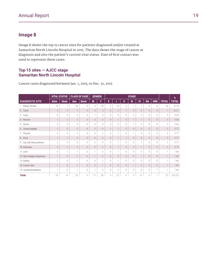Image 8 shows the top 15 cancer sites for patients diagnosed and/or treated at Samaritan North Lincoln Hospital in 2015. The data shows the stage of cancer at diagnosis and also the patient's current vital status. Date of first contact was used to represent these cases.

#### **Top 15 sites — AJCC stage Samaritan North Lincoln Hospital**

|                              | <b>VITAL STATUS</b> |                  |                | <b>CLASS OF CASE</b><br><b>GENDER</b> |                          |                | <b>STAGE</b>     |                  |                  |                  |                |                |                |                 | $\frac{9}{6}$ |
|------------------------------|---------------------|------------------|----------------|---------------------------------------|--------------------------|----------------|------------------|------------------|------------------|------------------|----------------|----------------|----------------|-----------------|---------------|
| <b>DIAGNOSTIC SITE</b>       | <b>Alive</b>        | <b>Dead</b>      | Ana            | <b>NonA</b>                           | M                        | F              | $\bf{0}$         |                  | Ш                | Ш                | IV             | <b>NA</b>      | <b>UNK</b>     | <b>TOTAL</b>    | <b>TOTAL</b>  |
| 1. Breast, female            | 19                  | $\mathbf{1}$     | 20             | $\bigcap$                             | $\cap$                   | 20             | 3                | 13               | $\overline{2}$   |                  | $\overline{1}$ | $\cup$         | $\Omega$       | 20              | 37.74         |
| 2. Colon                     | 5                   | $\overline{2}$   | $\overline{7}$ | $\left( \right)$                      | $\overline{4}$           | 3              | $\overline{2}$   | $\overline{0}$   | $\mathbf{1}$     | $\overline{2}$   | $\overline{2}$ | $\Omega$       | $\overline{0}$ | $7\overline{ }$ | 13.21         |
| 3. Lung                      | $\cup$              | 5                | 5              | $\left( \right)$                      |                          | 4              | $\bigcap$        | $\cup$           | $\left( \right)$ | $\overline{2}$   | 3              | $\bigcap$      | 0              | 5               | 9.43          |
| 4. Rectum                    |                     | $\overline{2}$   | 3              | $\Omega$                              | $\overline{\mathcal{E}}$ | $\Omega$       | $\Omega$         | $\mathbf{1}$     | $\bigcap$        |                  |                | $\theta$       | $\overline{0}$ | 3               | 5.66          |
| 5. Cervix                    | 3                   | $\left( \right)$ | 3              | $\left( \right)$                      | $\bigcap$                | 3              | $\left( \right)$ | $\overline{2}$   | $\bigcap$        |                  | $\bigcap$      | $\Omega$       | $\Omega$       | 3               | 5.66          |
| 6. Urinary bladder           | $\mathbf{2}$        | $\overline{0}$   | $\gamma$       | $\Omega$                              | $\gamma$                 | $\Omega$       | $\mathbf{1}$     | $\mathbf{1}$     | $\bigcap$        | $\Omega$         | $\Omega$       | $\theta$       | $\overline{0}$ | $\mathfrak{D}$  | 3.77          |
| 7. Thyroid                   | $\overline{2}$      | $\left( \right)$ | $\gamma$       | $\bigcap$                             | $\bigcap$                | $\overline{2}$ | $\Omega$         | $\mathbf{1}$     | $\bigcap$        | 1                | $\bigcap$      | $\bigcap$      | $\Omega$       | $\overline{2}$  | 3.77          |
| 8. Anus                      |                     | 1                | $\gamma$       | $\theta$                              | $\overline{0}$           | $\overline{2}$ | $\overline{0}$   | $\mathbf{1}$     |                  | $\bigcap$        | $\overline{0}$ | $\mathbb O$    | $\overline{0}$ | $\overline{2}$  | 3.77          |
| 9. Lip, oral cavity, pharynx | $\overline{2}$      | $\theta$         | $\gamma$       | $\cup$                                | $\overline{2}$           | $\cup$         | $\bigcap$        | $\mathbf{1}$     | $\mathbf{0}$     | $\cup$           |                | $\bigcap$      | $\cup$         | $\overline{2}$  | 3.77          |
| 10. Pancreas                 | $\overline{0}$      | $\overline{2}$   | $\overline{2}$ | $\Omega$                              | $\Omega$                 | $\overline{2}$ | $\overline{0}$   | $\mathbf{1}$     | $\overline{0}$   | $\Omega$         |                | $\overline{0}$ | $\overline{0}$ | $\overline{2}$  | 3.77          |
| 11. Liver                    | $\overline{0}$      | 1                | 1              | $\cup$                                |                          | $\cup$         | $\bigcap$        | 1                | $\cup$           | $\left( \right)$ | $\bigcap$      | $\bigcap$      | $\cup$         |                 | 1.89          |
| 12. Non-Hodgkin lymphoma     |                     | $\theta$         | 1              | $\bigcap$                             |                          | $\Omega$       | $\theta$         | $\overline{0}$   | $\bigcap$        | $\Omega$         |                | $\bigcap$      | $\overline{0}$ |                 | 1.89          |
| 13. Kidney                   |                     | $\Omega$         |                | $\left( \right)$                      | $\bigcap$                |                | $\cup$           |                  | $\cup$           | $\bigcap$        | $\bigcap$      | $\cup$         | $\cup$         |                 | 1.89          |
| 14. Corpus uteri             |                     | $\theta$         | $\mathbf{1}$   | $\bigcap$                             | $\Omega$                 |                | $\theta$         | $\overline{0}$   | $\Omega$         | $\mathbf{1}$     | $\Omega$       | $\overline{0}$ | $\overline{0}$ |                 | 1.89          |
| 15. Lymphoid leukemia        |                     | $\theta$         | 1              | $\left( \right)$                      |                          | $\Omega$       | $\theta$         | $\left( \right)$ | $\left( \right)$ | $\cup$           | $\bigcap$      | $\cup$         | 1              | 1               | 1.89          |
| <b>Total</b>                 | 39                  | 14               | 53             | $\sqrt{a}$                            | 15                       | 38             | 6                | 23               | 4                | 9                | 10             | $\theta$       | 1.             | 53              | 100.00        |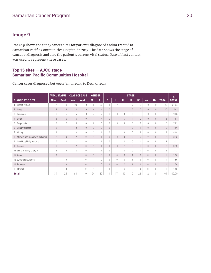Image 9 shows the top 15 cancer sites for patients diagnosed and/or treated at Samaritan Pacific Communities Hospital in 2015. The data shows the stage of cancer at diagnosis and also the patient's current vital status. Date of first contact was used to represent these cases.

#### **Top 15 sites — AJCC stage Samaritan Pacific Communities Hospital**

|                                   | <b>VITAL STATUS</b> | <b>CLASS OF CASE</b> |                | <b>GENDER</b>  |                |                |                  |                | %              |                |                 |                |                  |                |              |
|-----------------------------------|---------------------|----------------------|----------------|----------------|----------------|----------------|------------------|----------------|----------------|----------------|-----------------|----------------|------------------|----------------|--------------|
| <b>DIAGNOSTIC SITE</b>            | <b>Alive</b>        | <b>Dead</b>          | Ana            | <b>NonA</b>    | M              | F              | $\bf{0}$         |                | Ш              | Ш              | IV              | <b>NA</b>      | <b>UNK</b>       | <b>TOTAL</b>   | <b>TOTAL</b> |
| 1. Breast, female                 | 17                  | 3                    | 20             | $\cap$         | $\Omega$       | 20             | 1                | 7              | 7              | $\overline{2}$ | 3               | $\bigcap$      | $\left( \right)$ | 20             | 31.25        |
| 2. Lung                           | $\overline{2}$      | 8                    | 10             | $\Omega$       | 6              | $\overline{4}$ | $\Omega$         |                | 1              | $\overline{2}$ | $6\overline{6}$ | $\Omega$       | $\Omega$         | 10             | 15.63        |
| 3. Pancreas                       | $\bigcap$           | 6                    | 6              | $\bigcap$      | $\overline{4}$ | $\overline{2}$ | $\left( \right)$ | $\bigcap$      | $\Omega$       |                | 5               | $\bigcap$      | $\bigcap$        | 6              | 9.38         |
| 4. Colon                          | 5                   | $\theta$             | 5              | $\overline{0}$ | 1              | $\overline{4}$ | $\theta$         |                | 3              |                | $\theta$        | $\overline{0}$ | $\theta$         | 5              | 7.81         |
| 5. Corpus uteri                   | 3                   | $\overline{2}$       | 5              | $\Omega$       | $\cup$         | 5              | $\left( \right)$ | 3              | $\bigcap$      | $\cup$         | $\overline{2}$  | $\cup$         | $\cup$           | 5              | 7.81         |
| 6. Urinary bladder                | $\overline{2}$      | $\mathbf{1}$         | 3              | $\overline{0}$ | 3              | $\overline{0}$ | $\overline{0}$   | 1              | $\overline{1}$ | $\overline{0}$ | $\mathbf 1$     | $\overline{0}$ | $\overline{0}$   | 3              | 4.69         |
| 7. Kidney                         | $\overline{2}$      | 1                    | 3              | $\cup$         | $\overline{2}$ | 1              | $\bigcap$        | 1              | $\bigcap$      | $\cup$         | $\overline{2}$  | $\cup$         | $\left( \right)$ | 3              | 4.69         |
| 8. Myeloid and monocytic leukemia | $\overline{2}$      | $\theta$             | $\overline{2}$ | $\Omega$       | $\mathbf{1}$   | 1              | $\bigcap$        | $\overline{0}$ | $\overline{0}$ | $\overline{0}$ | $\Omega$        | $\overline{2}$ | $\theta$         | $\overline{2}$ | 3.13         |
| 9. Non-Hodgkin lymphoma           | $\bigcap$           | $\mathbf{2}$         | $\overline{2}$ | $\bigcap$      | 1              | 1              | $\bigcap$        |                | $\cup$         | $\overline{0}$ |                 | $\bigcap$      | $\left( \right)$ | $\overline{2}$ | 3.13         |
| 10. Rectum                        |                     | 1                    | $\overline{2}$ | $\overline{0}$ | 1              | 1              | $\theta$         | $\overline{0}$ | $\mathbf 1$    | $\overline{0}$ |                 | $\Omega$       | $\overline{0}$   | $\overline{2}$ | 3.13         |
| 11. Lip, oral cavity, pharynx     | $\gamma$            | $\cup$               | $\mathbf{2}$   | $\cup$         | 1              | 1              | $\cup$           |                | $\cup$         | $\overline{0}$ |                 | $\bigcap$      | $\left( \right)$ | $\gamma$       | 3.13         |
| 12. Anus                          | $\Omega$            | 1                    | $\mathbf{1}$   | $\overline{0}$ | $\mathbf 1$    | 0              | $\mathbb O$      | $\overline{0}$ | $\mathbb O$    |                | $\mathbf{0}$    | $\theta$       | $\theta$         | $\mathbf{1}$   | 1.56         |
| 13. Lymphoid leukemia             |                     | $\mathbf{0}$         | 1              | 0              | $\overline{1}$ | 0              | $\bigcap$        | $\cup$         | $\cup$         |                | $\bigcap$       | $\cup$         | $\bigcap$        |                | 1.56         |
| 14. Prostate                      |                     | $\overline{0}$       | $\mathbf{1}$   | $\overline{0}$ | $\mathbf{1}$   | $\overline{0}$ | $\Omega$         | $\Omega$       | $\theta$       |                | $\Omega$        | $\Omega$       | $\bigcap$        | $\mathbf{1}$   | 1.56         |
| 15. Thyroid                       |                     | $\cup$               | 1              | $\bigcap$      | 1              | 0              | $\bigcap$        |                | $\Omega$       | $\bigcap$      | $\bigcap$       | $\bigcap$      | $\bigcap$        |                | 1.56         |
| <b>Total</b>                      | 39                  | 25                   | 64             | 0              | 24             | 40             | 1                | 17             | 13             | 9              | 22              | $\overline{2}$ | $\overline{0}$   | 64             | 100.00       |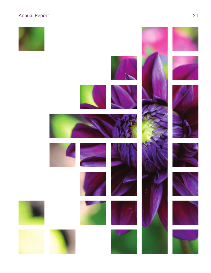## Annual Report 21